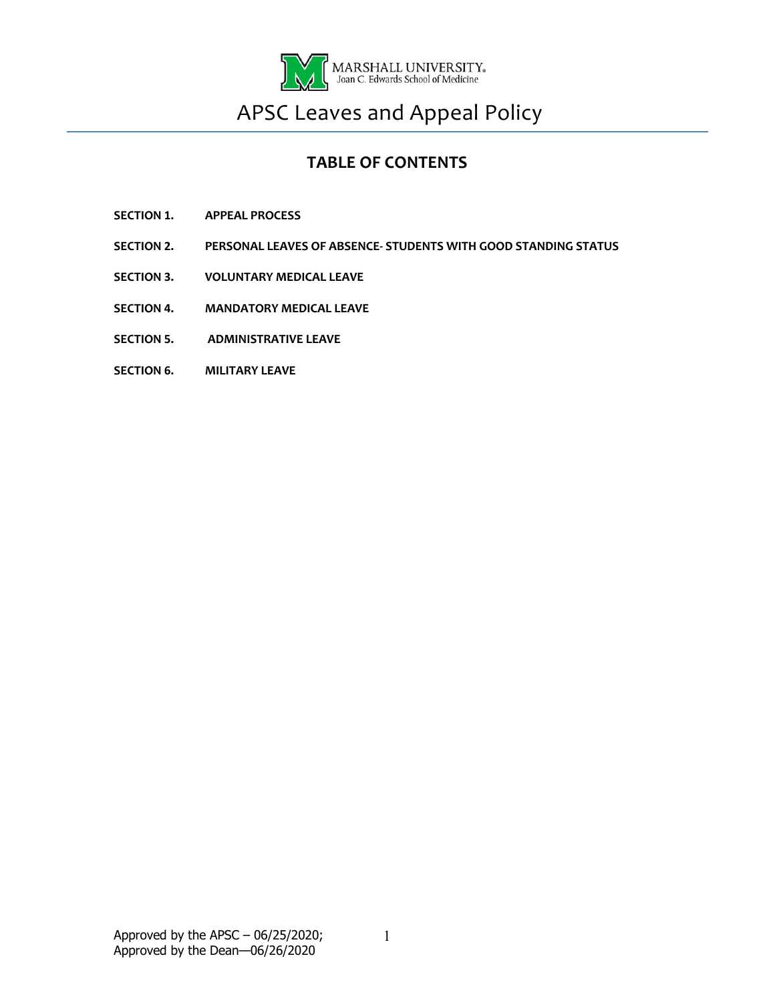

# APSC Leaves and Appeal Policy

## **TABLE OF CONTENTS**

- **SECTION 1. APPEAL PROCESS**
- **SECTION 2. PERSONAL LEAVES OF ABSENCE- STUDENTS WITH GOOD STANDING STATUS**
- **SECTION 3. VOLUNTARY MEDICAL LEAVE**
- **SECTION 4. MANDATORY MEDICAL LEAVE**
- **SECTION 5. ADMINISTRATIVE LEAVE**
- **SECTION 6. MILITARY LEAVE**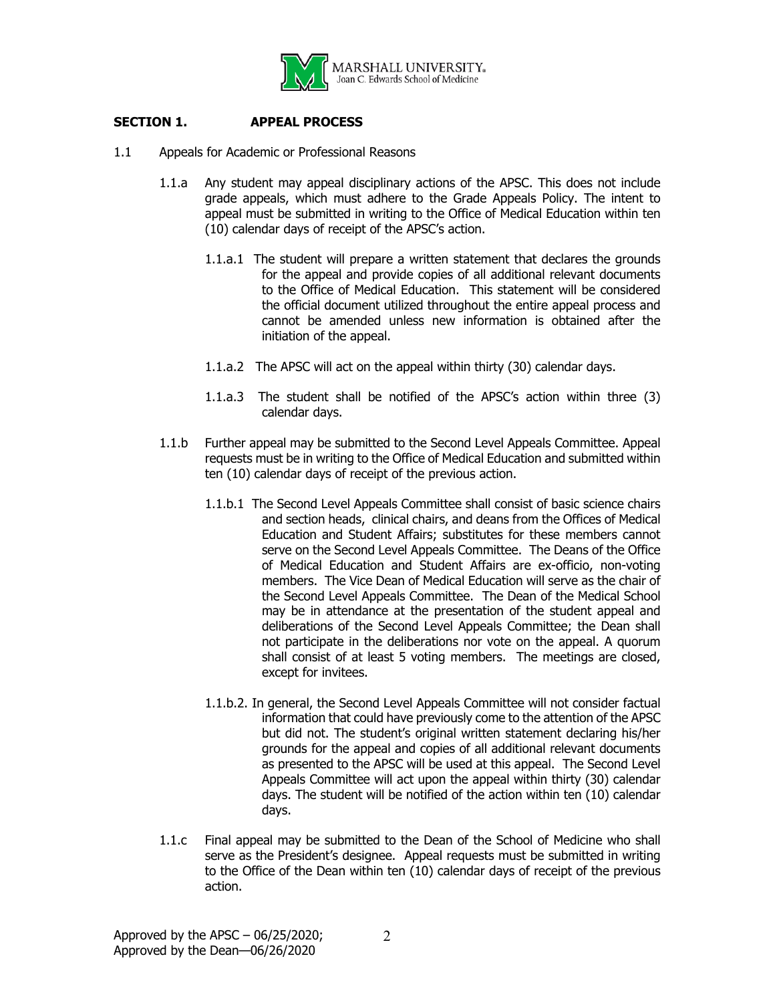

### **SECTION 1. APPEAL PROCESS**

- 1.1 Appeals for Academic or Professional Reasons
	- 1.1.a Any student may appeal disciplinary actions of the APSC. This does not include grade appeals, which must adhere to the Grade Appeals Policy. The intent to appeal must be submitted in writing to the Office of Medical Education within ten (10) calendar days of receipt of the APSC's action.
		- 1.1.a.1 The student will prepare a written statement that declares the grounds for the appeal and provide copies of all additional relevant documents to the Office of Medical Education. This statement will be considered the official document utilized throughout the entire appeal process and cannot be amended unless new information is obtained after the initiation of the appeal.
		- 1.1.a.2 The APSC will act on the appeal within thirty (30) calendar days.
		- 1.1.a.3 The student shall be notified of the APSC's action within three (3) calendar days.
	- 1.1.b Further appeal may be submitted to the Second Level Appeals Committee. Appeal requests must be in writing to the Office of Medical Education and submitted within ten (10) calendar days of receipt of the previous action.
		- 1.1.b.1 The Second Level Appeals Committee shall consist of basic science chairs and section heads, clinical chairs, and deans from the Offices of Medical Education and Student Affairs; substitutes for these members cannot serve on the Second Level Appeals Committee. The Deans of the Office of Medical Education and Student Affairs are ex-officio, non-voting members. The Vice Dean of Medical Education will serve as the chair of the Second Level Appeals Committee. The Dean of the Medical School may be in attendance at the presentation of the student appeal and deliberations of the Second Level Appeals Committee; the Dean shall not participate in the deliberations nor vote on the appeal. A quorum shall consist of at least 5 voting members. The meetings are closed, except for invitees.
		- 1.1.b.2. In general, the Second Level Appeals Committee will not consider factual information that could have previously come to the attention of the APSC but did not. The student's original written statement declaring his/her grounds for the appeal and copies of all additional relevant documents as presented to the APSC will be used at this appeal. The Second Level Appeals Committee will act upon the appeal within thirty (30) calendar days. The student will be notified of the action within ten (10) calendar days.
	- 1.1.c Final appeal may be submitted to the Dean of the School of Medicine who shall serve as the President's designee. Appeal requests must be submitted in writing to the Office of the Dean within ten (10) calendar days of receipt of the previous action.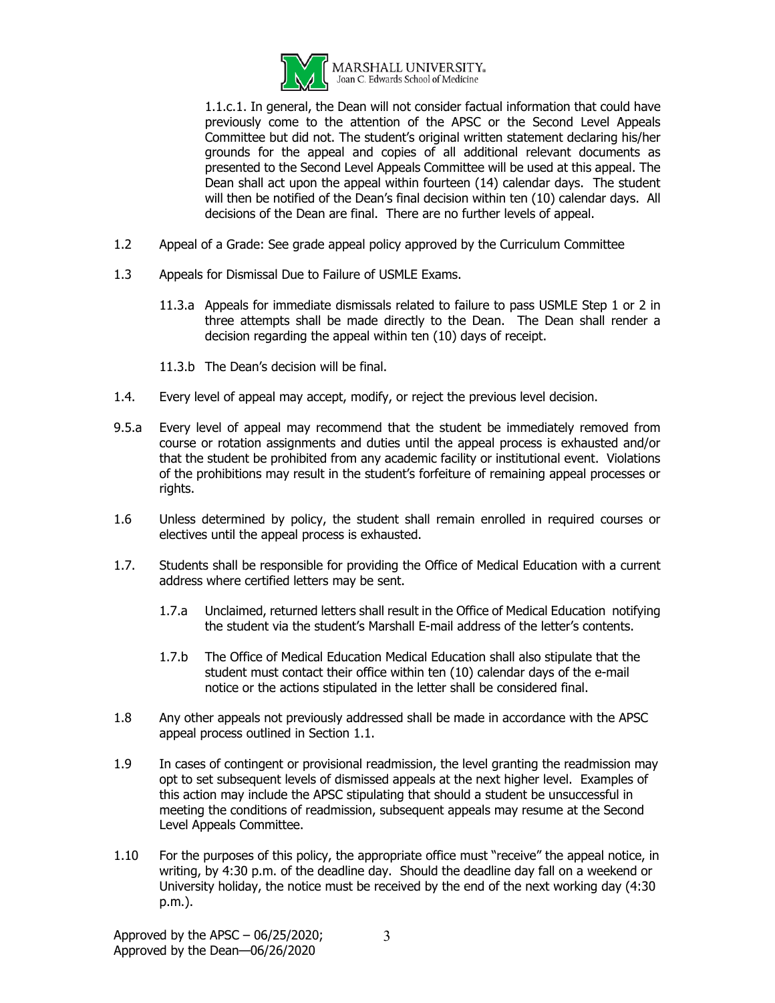

1.1.c.1. In general, the Dean will not consider factual information that could have previously come to the attention of the APSC or the Second Level Appeals Committee but did not. The student's original written statement declaring his/her grounds for the appeal and copies of all additional relevant documents as presented to the Second Level Appeals Committee will be used at this appeal. The Dean shall act upon the appeal within fourteen (14) calendar days. The student will then be notified of the Dean's final decision within ten (10) calendar days. All decisions of the Dean are final. There are no further levels of appeal.

- 1.2 Appeal of a Grade: See grade appeal policy approved by the Curriculum Committee
- 1.3 Appeals for Dismissal Due to Failure of USMLE Exams.
	- 11.3.a Appeals for immediate dismissals related to failure to pass USMLE Step 1 or 2 in three attempts shall be made directly to the Dean. The Dean shall render a decision regarding the appeal within ten (10) days of receipt.
	- 11.3.b The Dean's decision will be final.
- 1.4. Every level of appeal may accept, modify, or reject the previous level decision.
- 9.5.a Every level of appeal may recommend that the student be immediately removed from course or rotation assignments and duties until the appeal process is exhausted and/or that the student be prohibited from any academic facility or institutional event. Violations of the prohibitions may result in the student's forfeiture of remaining appeal processes or rights.
- 1.6 Unless determined by policy, the student shall remain enrolled in required courses or electives until the appeal process is exhausted.
- 1.7. Students shall be responsible for providing the Office of Medical Education with a current address where certified letters may be sent.
	- 1.7.a Unclaimed, returned letters shall result in the Office of Medical Education notifying the student via the student's Marshall E-mail address of the letter's contents.
	- 1.7.b The Office of Medical Education Medical Education shall also stipulate that the student must contact their office within ten (10) calendar days of the e-mail notice or the actions stipulated in the letter shall be considered final.
- 1.8 Any other appeals not previously addressed shall be made in accordance with the APSC appeal process outlined in Section 1.1.
- 1.9 In cases of contingent or provisional readmission, the level granting the readmission may opt to set subsequent levels of dismissed appeals at the next higher level. Examples of this action may include the APSC stipulating that should a student be unsuccessful in meeting the conditions of readmission, subsequent appeals may resume at the Second Level Appeals Committee.
- 1.10 For the purposes of this policy, the appropriate office must "receive" the appeal notice, in writing, by 4:30 p.m. of the deadline day. Should the deadline day fall on a weekend or University holiday, the notice must be received by the end of the next working day (4:30 p.m.).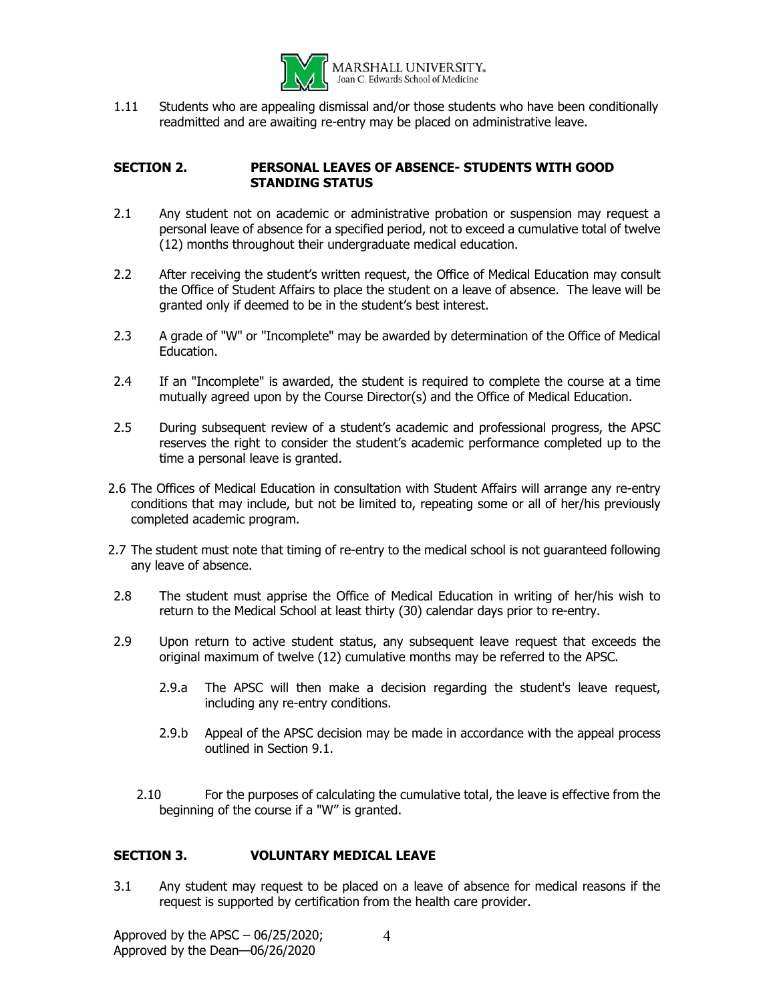

1.11 Students who are appealing dismissal and/or those students who have been conditionally readmitted and are awaiting re-entry may be placed on administrative leave.

#### **SECTION 2. PERSONAL LEAVES OF ABSENCE- STUDENTS WITH GOOD STANDING STATUS**

- 2.1 Any student not on academic or administrative probation or suspension may request a personal leave of absence for a specified period, not to exceed a cumulative total of twelve (12) months throughout their undergraduate medical education.
- 2.2 After receiving the student's written request, the Office of Medical Education may consult the Office of Student Affairs to place the student on a leave of absence. The leave will be granted only if deemed to be in the student's best interest.
- 2.3 A grade of "W" or "Incomplete" may be awarded by determination of the Office of Medical Education.
- 2.4 If an "Incomplete" is awarded, the student is required to complete the course at a time mutually agreed upon by the Course Director(s) and the Office of Medical Education.
- 2.5 During subsequent review of a student's academic and professional progress, the APSC reserves the right to consider the student's academic performance completed up to the time a personal leave is granted.
- 2.6 The Offices of Medical Education in consultation with Student Affairs will arrange any re-entry conditions that may include, but not be limited to, repeating some or all of her/his previously completed academic program.
- 2.7 The student must note that timing of re-entry to the medical school is not guaranteed following any leave of absence.
- 2.8 The student must apprise the Office of Medical Education in writing of her/his wish to return to the Medical School at least thirty (30) calendar days prior to re-entry.
- 2.9 Upon return to active student status, any subsequent leave request that exceeds the original maximum of twelve (12) cumulative months may be referred to the APSC.
	- 2.9.a The APSC will then make a decision regarding the student's leave request, including any re-entry conditions.
	- 2.9.b Appeal of the APSC decision may be made in accordance with the appeal process outlined in Section 9.1.
	- 2.10 For the purposes of calculating the cumulative total, the leave is effective from the beginning of the course if a "W" is granted.

#### **SECTION 3. VOLUNTARY MEDICAL LEAVE**

3.1 Any student may request to be placed on a leave of absence for medical reasons if the request is supported by certification from the health care provider.

Approved by the APSC  $-06/25/2020$ ; Approved by the Dean—06/26/2020 4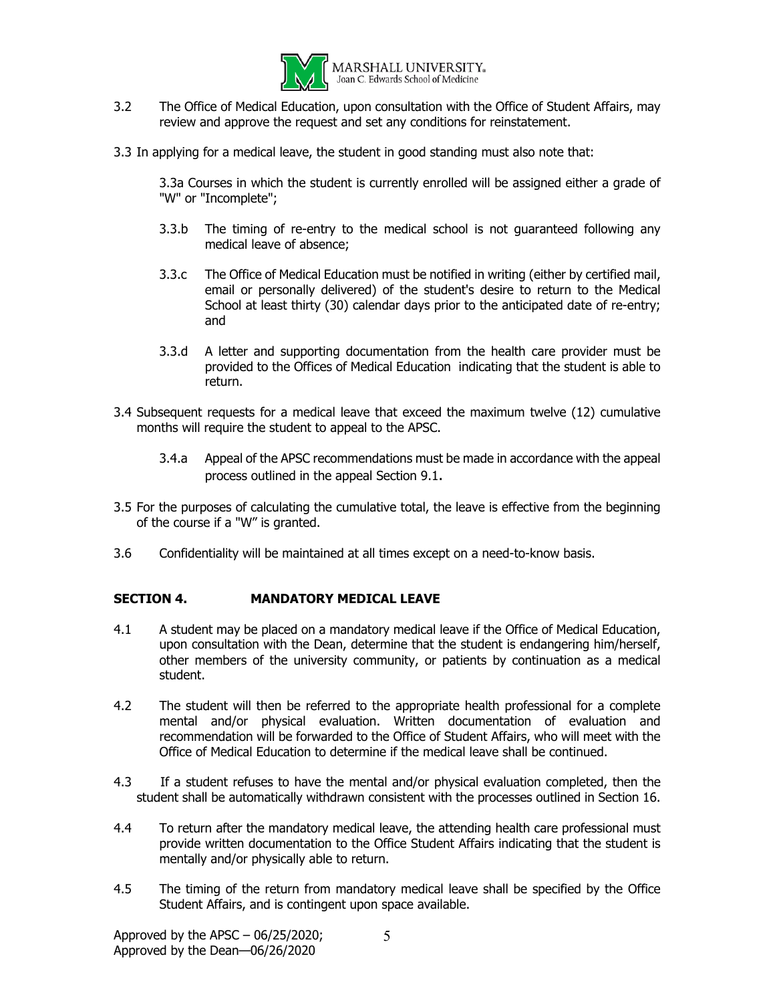

- 3.2 The Office of Medical Education, upon consultation with the Office of Student Affairs, may review and approve the request and set any conditions for reinstatement.
- 3.3 In applying for a medical leave, the student in good standing must also note that:

3.3a Courses in which the student is currently enrolled will be assigned either a grade of "W" or "Incomplete";

- 3.3.b The timing of re-entry to the medical school is not guaranteed following any medical leave of absence;
- 3.3.c The Office of Medical Education must be notified in writing (either by certified mail, email or personally delivered) of the student's desire to return to the Medical School at least thirty (30) calendar days prior to the anticipated date of re-entry; and
- 3.3.d A letter and supporting documentation from the health care provider must be provided to the Offices of Medical Education indicating that the student is able to return.
- 3.4 Subsequent requests for a medical leave that exceed the maximum twelve (12) cumulative months will require the student to appeal to the APSC.
	- 3.4.a Appeal of the APSC recommendations must be made in accordance with the appeal process outlined in the appeal Section 9.1.
- 3.5 For the purposes of calculating the cumulative total, the leave is effective from the beginning of the course if a "W" is granted.
- 3.6 Confidentiality will be maintained at all times except on a need-to-know basis.

#### **SECTION 4. MANDATORY MEDICAL LEAVE**

- 4.1 A student may be placed on a mandatory medical leave if the Office of Medical Education, upon consultation with the Dean, determine that the student is endangering him/herself, other members of the university community, or patients by continuation as a medical student.
- 4.2 The student will then be referred to the appropriate health professional for a complete mental and/or physical evaluation. Written documentation of evaluation and recommendation will be forwarded to the Office of Student Affairs, who will meet with the Office of Medical Education to determine if the medical leave shall be continued.
- 4.3 If a student refuses to have the mental and/or physical evaluation completed, then the student shall be automatically withdrawn consistent with the processes outlined in Section 16.
- 4.4 To return after the mandatory medical leave, the attending health care professional must provide written documentation to the Office Student Affairs indicating that the student is mentally and/or physically able to return.
- 4.5 The timing of the return from mandatory medical leave shall be specified by the Office Student Affairs, and is contingent upon space available.